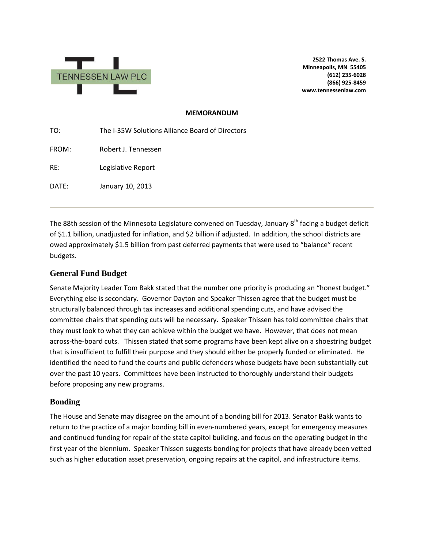

**2522 Thomas Ave. S. Minneapolis, MN 55405 (612) 235-6028 (866) 925-8459 www.tennessenlaw.com**

#### **MEMORANDUM**

| TO:   | The I-35W Solutions Alliance Board of Directors |
|-------|-------------------------------------------------|
| FROM: | Robert J. Tennessen                             |
| RE:   | Legislative Report                              |
| DATE: | January 10, 2013                                |
|       |                                                 |

The 88th session of the Minnesota Legislature convened on Tuesday, January 8<sup>th</sup> facing a budget deficit of \$1.1 billion, unadjusted for inflation, and \$2 billion if adjusted. In addition, the school districts are owed approximately \$1.5 billion from past deferred payments that were used to "balance" recent budgets.

#### **General Fund Budget**

Senate Majority Leader Tom Bakk stated that the number one priority is producing an "honest budget." Everything else is secondary. Governor Dayton and Speaker Thissen agree that the budget must be structurally balanced through tax increases and additional spending cuts, and have advised the committee chairs that spending cuts will be necessary. Speaker Thissen has told committee chairs that they must look to what they can achieve within the budget we have. However, that does not mean across-the-board cuts. Thissen stated that some programs have been kept alive on a shoestring budget that is insufficient to fulfill their purpose and they should either be properly funded or eliminated. He identified the need to fund the courts and public defenders whose budgets have been substantially cut over the past 10 years. Committees have been instructed to thoroughly understand their budgets before proposing any new programs.

## **Bonding**

The House and Senate may disagree on the amount of a bonding bill for 2013. Senator Bakk wants to return to the practice of a major bonding bill in even-numbered years, except for emergency measures and continued funding for repair of the state capitol building, and focus on the operating budget in the first year of the biennium. Speaker Thissen suggests bonding for projects that have already been vetted such as higher education asset preservation, ongoing repairs at the capitol, and infrastructure items.